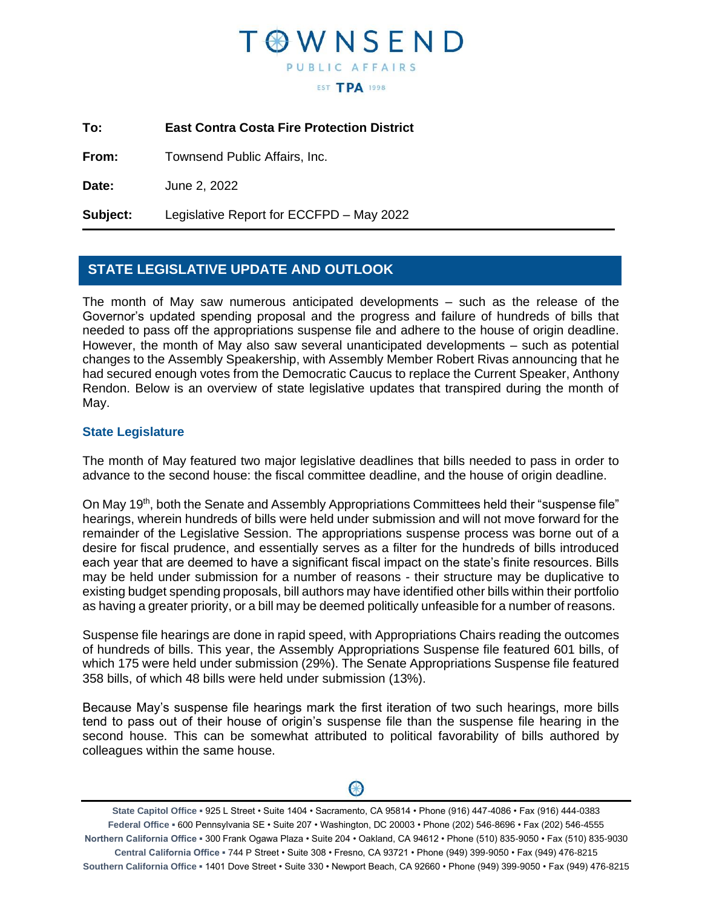## **FOWNSEND** PUBLIC AFFAIRS **EST TPA 1998**

**To: East Contra Costa Fire Protection District**

**From:** Townsend Public Affairs, Inc.

**Date:** June 2, 2022

**Subject:** Legislative Report for ECCFPD – May 2022

## **STATE LEGISLATIVE UPDATE AND OUTLOOK**

The month of May saw numerous anticipated developments – such as the release of the Governor's updated spending proposal and the progress and failure of hundreds of bills that needed to pass off the appropriations suspense file and adhere to the house of origin deadline. However, the month of May also saw several unanticipated developments – such as potential changes to the Assembly Speakership, with Assembly Member Robert Rivas announcing that he had secured enough votes from the Democratic Caucus to replace the Current Speaker, Anthony Rendon. Below is an overview of state legislative updates that transpired during the month of May.

#### **State Legislature**

The month of May featured two major legislative deadlines that bills needed to pass in order to advance to the second house: the fiscal committee deadline, and the house of origin deadline.

On May 19<sup>th</sup>, both the Senate and Assembly Appropriations Committees held their "suspense file" hearings, wherein hundreds of bills were held under submission and will not move forward for the remainder of the Legislative Session. The appropriations suspense process was borne out of a desire for fiscal prudence, and essentially serves as a filter for the hundreds of bills introduced each year that are deemed to have a significant fiscal impact on the state's finite resources. Bills may be held under submission for a number of reasons - their structure may be duplicative to existing budget spending proposals, bill authors may have identified other bills within their portfolio as having a greater priority, or a bill may be deemed politically unfeasible for a number of reasons.

Suspense file hearings are done in rapid speed, with Appropriations Chairs reading the outcomes of hundreds of bills. This year, the Assembly Appropriations Suspense file featured 601 bills, of which 175 were held under submission (29%). The Senate Appropriations Suspense file featured 358 bills, of which 48 bills were held under submission (13%).

Because May's suspense file hearings mark the first iteration of two such hearings, more bills tend to pass out of their house of origin's suspense file than the suspense file hearing in the second house. This can be somewhat attributed to political favorability of bills authored by colleagues within the same house.



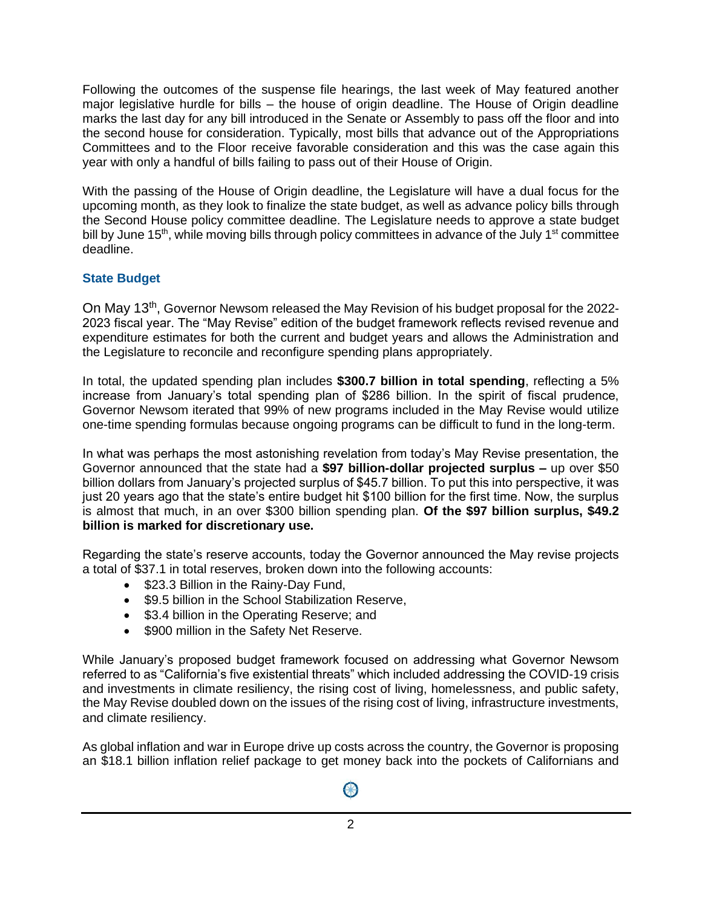Following the outcomes of the suspense file hearings, the last week of May featured another major legislative hurdle for bills – the house of origin deadline. The House of Origin deadline marks the last day for any bill introduced in the Senate or Assembly to pass off the floor and into the second house for consideration. Typically, most bills that advance out of the Appropriations Committees and to the Floor receive favorable consideration and this was the case again this year with only a handful of bills failing to pass out of their House of Origin.

With the passing of the House of Origin deadline, the Legislature will have a dual focus for the upcoming month, as they look to finalize the state budget, as well as advance policy bills through the Second House policy committee deadline. The Legislature needs to approve a state budget bill by June 15<sup>th</sup>, while moving bills through policy committees in advance of the July 1<sup>st</sup> committee deadline.

## **State Budget**

On May 13<sup>th</sup>, Governor Newsom released the May Revision of his budget proposal for the 2022-2023 fiscal year. The "May Revise" edition of the budget framework reflects revised revenue and expenditure estimates for both the current and budget years and allows the Administration and the Legislature to reconcile and reconfigure spending plans appropriately.

In total, the updated spending plan includes **\$300.7 billion in total spending**, reflecting a 5% increase from January's total spending plan of \$286 billion. In the spirit of fiscal prudence, Governor Newsom iterated that 99% of new programs included in the May Revise would utilize one-time spending formulas because ongoing programs can be difficult to fund in the long-term.

In what was perhaps the most astonishing revelation from today's May Revise presentation, the Governor announced that the state had a **\$97 billion-dollar projected surplus –** up over \$50 billion dollars from January's projected surplus of \$45.7 billion. To put this into perspective, it was just 20 years ago that the state's entire budget hit \$100 billion for the first time. Now, the surplus is almost that much, in an over \$300 billion spending plan. **Of the \$97 billion surplus, \$49.2 billion is marked for discretionary use.** 

Regarding the state's reserve accounts, today the Governor announced the May revise projects a total of \$37.1 in total reserves, broken down into the following accounts:

- \$23.3 Billion in the Rainy-Day Fund,
- \$9.5 billion in the School Stabilization Reserve.
- \$3.4 billion in the Operating Reserve; and
- \$900 million in the Safety Net Reserve.

While January's proposed budget framework focused on addressing what Governor Newsom referred to as "California's five existential threats" which included addressing the COVID-19 crisis and investments in climate resiliency, the rising cost of living, homelessness, and public safety, the May Revise doubled down on the issues of the rising cost of living, infrastructure investments, and climate resiliency.

As global inflation and war in Europe drive up costs across the country, the Governor is proposing an \$18.1 billion inflation relief package to get money back into the pockets of Californians and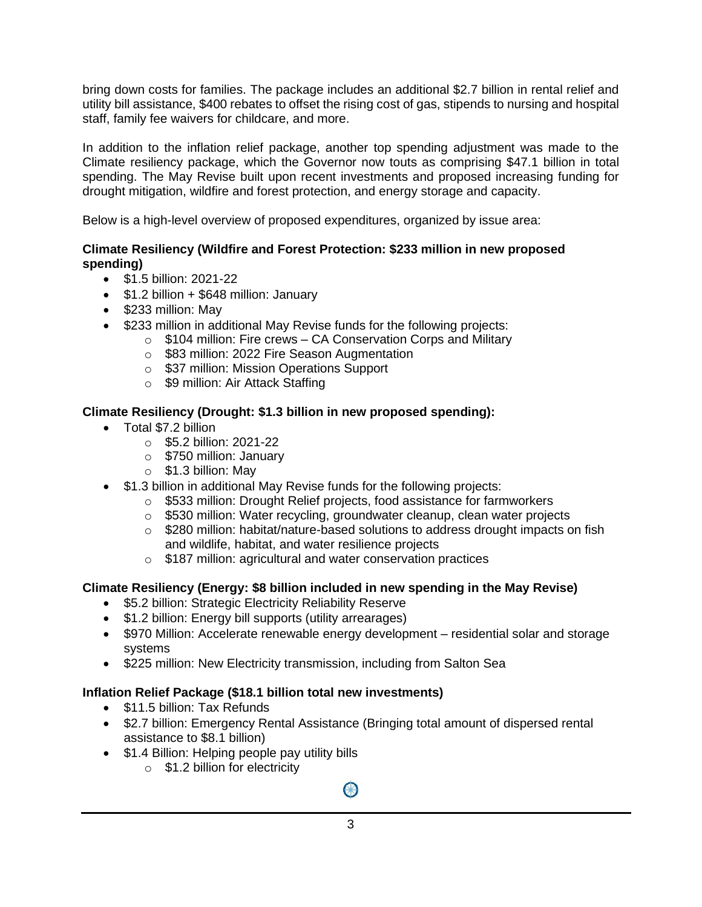bring down costs for families. The package includes an additional \$2.7 billion in rental relief and utility bill assistance, \$400 rebates to offset the rising cost of gas, stipends to nursing and hospital staff, family fee waivers for childcare, and more.

In addition to the inflation relief package, another top spending adjustment was made to the Climate resiliency package, which the Governor now touts as comprising \$47.1 billion in total spending. The May Revise built upon recent investments and proposed increasing funding for drought mitigation, wildfire and forest protection, and energy storage and capacity.

Below is a high-level overview of proposed expenditures, organized by issue area:

### **Climate Resiliency (Wildfire and Forest Protection: \$233 million in new proposed spending)**

- \$1.5 billion: 2021-22
- $\bullet$  \$1.2 billion + \$648 million: January
- \$233 million: May
- \$233 million in additional May Revise funds for the following projects:
	- $\circ$  \$104 million: Fire crews CA Conservation Corps and Military
	- o \$83 million: 2022 Fire Season Augmentation
	- o \$37 million: Mission Operations Support
	- o \$9 million: Air Attack Staffing

## **Climate Resiliency (Drought: \$1.3 billion in new proposed spending):**

- Total \$7.2 billion
	- o \$5.2 billion: 2021-22
	- o \$750 million: January
	- o \$1.3 billion: May
- \$1.3 billion in additional May Revise funds for the following projects:
	- o \$533 million: Drought Relief projects, food assistance for farmworkers
	- o \$530 million: Water recycling, groundwater cleanup, clean water projects
	- $\circ$  \$280 million: habitat/nature-based solutions to address drought impacts on fish and wildlife, habitat, and water resilience projects
	- o \$187 million: agricultural and water conservation practices

## **Climate Resiliency (Energy: \$8 billion included in new spending in the May Revise)**

- \$5.2 billion: Strategic Electricity Reliability Reserve
- \$1.2 billion: Energy bill supports (utility arrearages)
- \$970 Million: Accelerate renewable energy development residential solar and storage systems
- \$225 million: New Electricity transmission, including from Salton Sea

## **Inflation Relief Package (\$18.1 billion total new investments)**

- \$11.5 billion: Tax Refunds
- \$2.7 billion: Emergency Rental Assistance (Bringing total amount of dispersed rental assistance to \$8.1 billion)
- \$1.4 Billion: Helping people pay utility bills
	- $\circ$  \$1.2 billion for electricity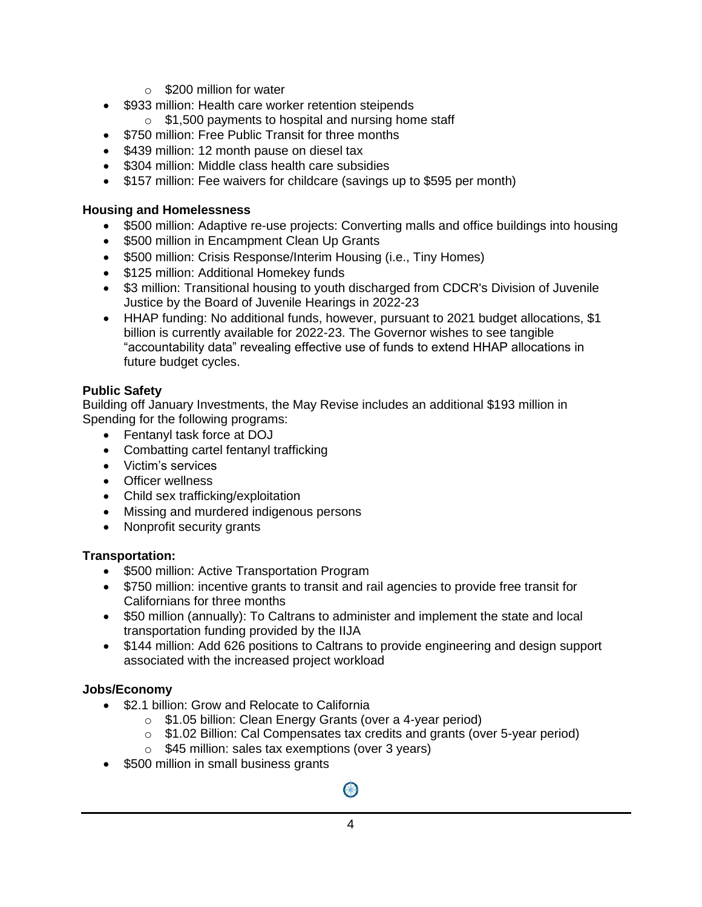- o \$200 million for water
- \$933 million: Health care worker retention steipends
	- $\circ$  \$1,500 payments to hospital and nursing home staff
- \$750 million: Free Public Transit for three months
- \$439 million: 12 month pause on diesel tax
- \$304 million: Middle class health care subsidies
- \$157 million: Fee waivers for childcare (savings up to \$595 per month)

### **Housing and Homelessness**

- \$500 million: Adaptive re-use projects: Converting malls and office buildings into housing
- \$500 million in Encampment Clean Up Grants
- \$500 million: Crisis Response/Interim Housing (i.e., Tiny Homes)
- \$125 million: Additional Homekey funds
- \$3 million: Transitional housing to youth discharged from CDCR's Division of Juvenile Justice by the Board of Juvenile Hearings in 2022-23
- HHAP funding: No additional funds, however, pursuant to 2021 budget allocations, \$1 billion is currently available for 2022-23. The Governor wishes to see tangible "accountability data" revealing effective use of funds to extend HHAP allocations in future budget cycles.

## **Public Safety**

Building off January Investments, the May Revise includes an additional \$193 million in Spending for the following programs:

- Fentanyl task force at DOJ
- Combatting cartel fentanyl trafficking
- Victim's services
- Officer wellness
- Child sex trafficking/exploitation
- Missing and murdered indigenous persons
- Nonprofit security grants

## **Transportation:**

- \$500 million: Active Transportation Program
- \$750 million: incentive grants to transit and rail agencies to provide free transit for Californians for three months
- \$50 million (annually): To Caltrans to administer and implement the state and local transportation funding provided by the IIJA
- \$144 million: Add 626 positions to Caltrans to provide engineering and design support associated with the increased project workload

## **Jobs/Economy**

- \$2.1 billion: Grow and Relocate to California
	- o \$1.05 billion: Clean Energy Grants (over a 4-year period)
	- $\circ$  \$1.02 Billion: Cal Compensates tax credits and grants (over 5-year period)
	- o \$45 million: sales tax exemptions (over 3 years)
- \$500 million in small business grants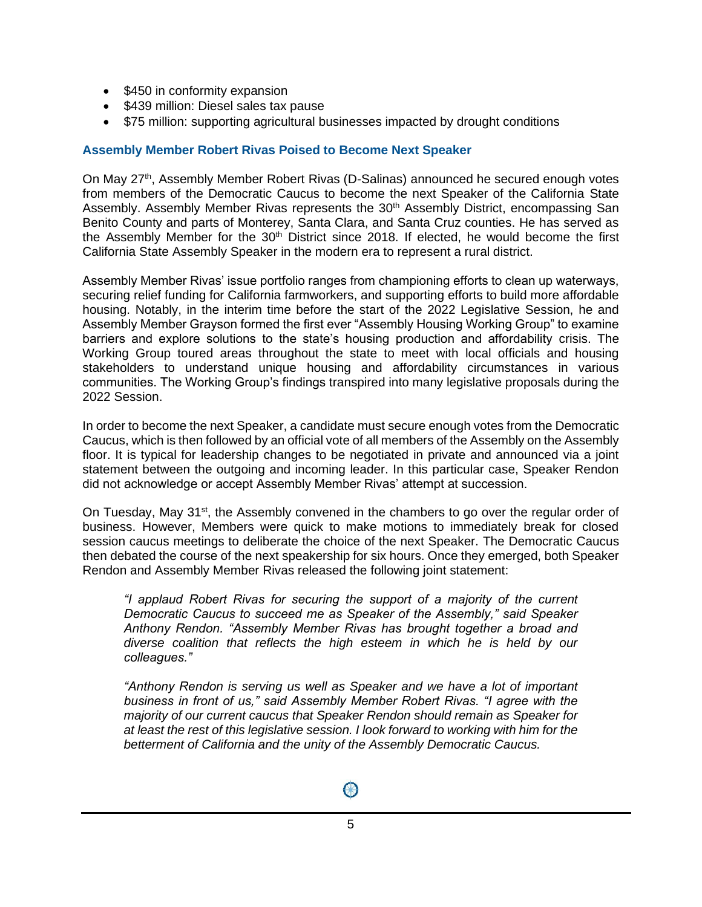- \$450 in conformity expansion
- \$439 million: Diesel sales tax pause
- \$75 million: supporting agricultural businesses impacted by drought conditions

#### **Assembly Member Robert Rivas Poised to Become Next Speaker**

On May 27<sup>th</sup>, Assembly Member Robert Rivas (D-Salinas) announced he secured enough votes from members of the Democratic Caucus to become the next Speaker of the California State Assembly. Assembly Member Rivas represents the 30<sup>th</sup> Assembly District, encompassing San Benito County and parts of Monterey, Santa Clara, and Santa Cruz counties. He has served as the Assembly Member for the  $30<sup>th</sup>$  District since 2018. If elected, he would become the first California State Assembly Speaker in the modern era to represent a rural district.

Assembly Member Rivas' issue portfolio ranges from championing efforts to clean up waterways, securing relief funding for California farmworkers, and supporting efforts to build more affordable housing. Notably, in the interim time before the start of the 2022 Legislative Session, he and Assembly Member Grayson formed the first ever "Assembly Housing Working Group" to examine barriers and explore solutions to the state's housing production and affordability crisis. The Working Group toured areas throughout the state to meet with local officials and housing stakeholders to understand unique housing and affordability circumstances in various communities. The Working Group's findings transpired into many legislative proposals during the 2022 Session.

In order to become the next Speaker, a candidate must secure enough votes from the Democratic Caucus, which is then followed by an official vote of all members of the Assembly on the Assembly floor. It is typical for leadership changes to be negotiated in private and announced via a joint statement between the outgoing and incoming leader. In this particular case, Speaker Rendon did not acknowledge or accept Assembly Member Rivas' attempt at succession.

On Tuesday, May  $31<sup>st</sup>$ , the Assembly convened in the chambers to go over the regular order of business. However, Members were quick to make motions to immediately break for closed session caucus meetings to deliberate the choice of the next Speaker. The Democratic Caucus then debated the course of the next speakership for six hours. Once they emerged, both Speaker Rendon and Assembly Member Rivas released the following joint statement:

*"I applaud Robert Rivas for securing the support of a majority of the current Democratic Caucus to succeed me as Speaker of the Assembly," said Speaker Anthony Rendon. "Assembly Member Rivas has brought together a broad and diverse coalition that reflects the high esteem in which he is held by our colleagues."* 

*"Anthony Rendon is serving us well as Speaker and we have a lot of important business in front of us," said Assembly Member Robert Rivas. "I agree with the majority of our current caucus that Speaker Rendon should remain as Speaker for at least the rest of this legislative session. I look forward to working with him for the betterment of California and the unity of the Assembly Democratic Caucus.*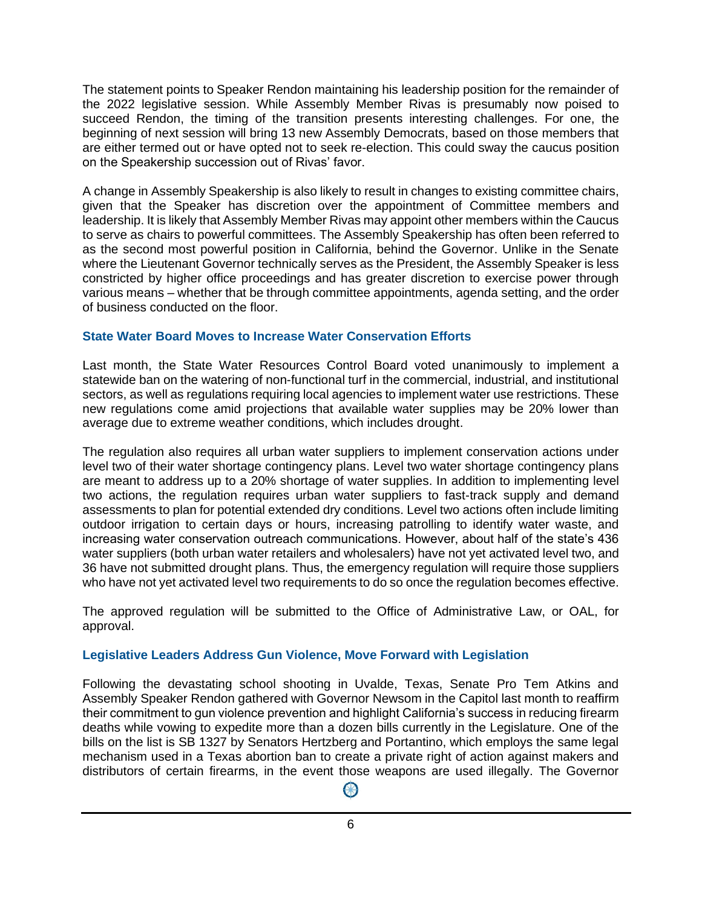The statement points to Speaker Rendon maintaining his leadership position for the remainder of the 2022 legislative session. While Assembly Member Rivas is presumably now poised to succeed Rendon, the timing of the transition presents interesting challenges. For one, the beginning of next session will bring 13 new Assembly Democrats, based on those members that are either termed out or have opted not to seek re-election. This could sway the caucus position on the Speakership succession out of Rivas' favor.

A change in Assembly Speakership is also likely to result in changes to existing committee chairs, given that the Speaker has discretion over the appointment of Committee members and leadership. It is likely that Assembly Member Rivas may appoint other members within the Caucus to serve as chairs to powerful committees. The Assembly Speakership has often been referred to as the second most powerful position in California, behind the Governor. Unlike in the Senate where the Lieutenant Governor technically serves as the President, the Assembly Speaker is less constricted by higher office proceedings and has greater discretion to exercise power through various means – whether that be through committee appointments, agenda setting, and the order of business conducted on the floor.

#### **State Water Board Moves to Increase Water Conservation Efforts**

Last month, the State Water Resources Control Board voted unanimously to implement a statewide ban on the watering of non-functional turf in the commercial, industrial, and institutional sectors, as well as regulations requiring local agencies to implement water use restrictions. These new regulations come amid projections that available water supplies may be 20% lower than average due to extreme weather conditions, which includes drought.

The regulation also requires all urban water suppliers to implement conservation actions under level two of their water shortage contingency plans. Level two water shortage contingency plans are meant to address up to a 20% shortage of water supplies. In addition to implementing level two actions, the regulation requires urban water suppliers to fast-track supply and demand assessments to plan for potential extended dry conditions. Level two actions often include limiting outdoor irrigation to certain days or hours, increasing patrolling to identify water waste, and increasing water conservation outreach communications. However, about half of the state's 436 water suppliers (both urban water retailers and wholesalers) have not yet activated level two, and 36 have not submitted drought plans. Thus, the emergency regulation will require those suppliers who have not yet activated level two requirements to do so once the regulation becomes effective.

The approved regulation will be submitted to the Office of Administrative Law, or OAL, for approval.

## **Legislative Leaders Address Gun Violence, Move Forward with Legislation**

Following the devastating school shooting in Uvalde, Texas, Senate Pro Tem Atkins and Assembly Speaker Rendon gathered with Governor Newsom in the Capitol last month to reaffirm their commitment to gun violence prevention and highlight California's success in reducing firearm deaths while vowing to expedite more than a dozen bills currently in the Legislature. One of the bills on the list is SB 1327 by Senators Hertzberg and Portantino, which employs the same legal mechanism used in a Texas abortion ban to create a private right of action against makers and distributors of certain firearms, in the event those weapons are used illegally. The Governor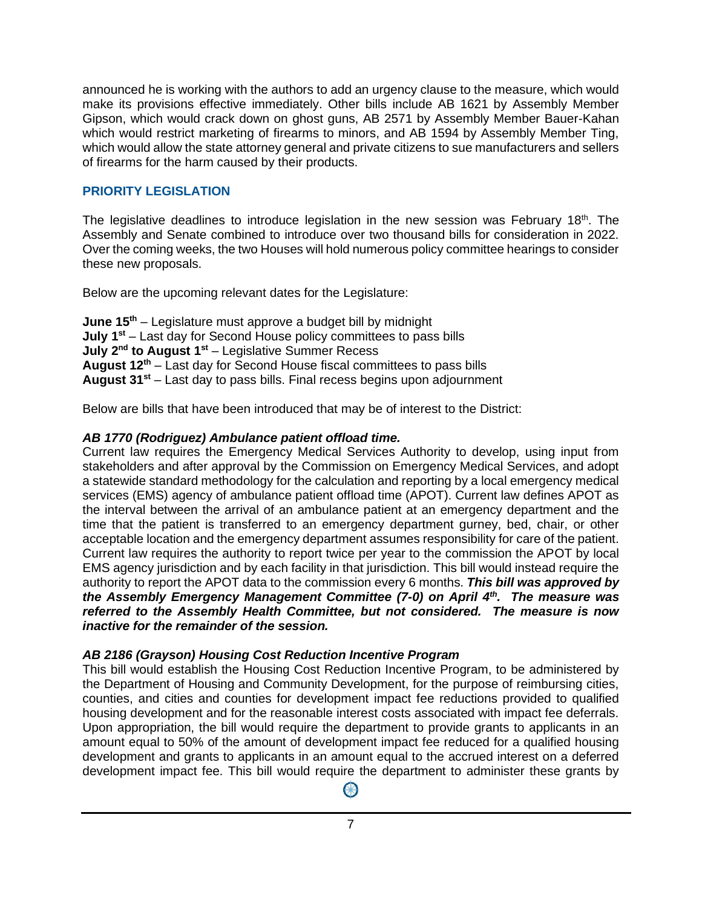announced he is working with the authors to add an urgency clause to the measure, which would make its provisions effective immediately. Other bills include AB 1621 by Assembly Member Gipson, which would crack down on ghost guns, AB 2571 by Assembly Member Bauer-Kahan which would restrict marketing of firearms to minors, and AB 1594 by Assembly Member Ting, which would allow the state attorney general and private citizens to sue manufacturers and sellers of firearms for the harm caused by their products.

## **PRIORITY LEGISLATION**

The legislative deadlines to introduce legislation in the new session was February 18<sup>th</sup>. The Assembly and Senate combined to introduce over two thousand bills for consideration in 2022. Over the coming weeks, the two Houses will hold numerous policy committee hearings to consider these new proposals.

Below are the upcoming relevant dates for the Legislature:

**June 15th** – Legislature must approve a budget bill by midnight **July 1st** – Last day for Second House policy committees to pass bills **July 2<sup>nd</sup> to August 1<sup>st</sup> – Legislative Summer Recess August 12th** – Last day for Second House fiscal committees to pass bills **August 31st** – Last day to pass bills. Final recess begins upon adjournment

Below are bills that have been introduced that may be of interest to the District:

## *AB 1770 (Rodriguez) Ambulance patient offload time.*

Current law requires the Emergency Medical Services Authority to develop, using input from stakeholders and after approval by the Commission on Emergency Medical Services, and adopt a statewide standard methodology for the calculation and reporting by a local emergency medical services (EMS) agency of ambulance patient offload time (APOT). Current law defines APOT as the interval between the arrival of an ambulance patient at an emergency department and the time that the patient is transferred to an emergency department gurney, bed, chair, or other acceptable location and the emergency department assumes responsibility for care of the patient. Current law requires the authority to report twice per year to the commission the APOT by local EMS agency jurisdiction and by each facility in that jurisdiction. This bill would instead require the authority to report the APOT data to the commission every 6 months. *This bill was approved by the Assembly Emergency Management Committee (7-0) on April 4th. The measure was referred to the Assembly Health Committee, but not considered. The measure is now inactive for the remainder of the session.*

## *AB 2186 (Grayson) Housing Cost Reduction Incentive Program*

This bill would establish the Housing Cost Reduction Incentive Program, to be administered by the Department of Housing and Community Development, for the purpose of reimbursing cities, counties, and cities and counties for development impact fee reductions provided to qualified housing development and for the reasonable interest costs associated with impact fee deferrals. Upon appropriation, the bill would require the department to provide grants to applicants in an amount equal to 50% of the amount of development impact fee reduced for a qualified housing development and grants to applicants in an amount equal to the accrued interest on a deferred development impact fee. This bill would require the department to administer these grants by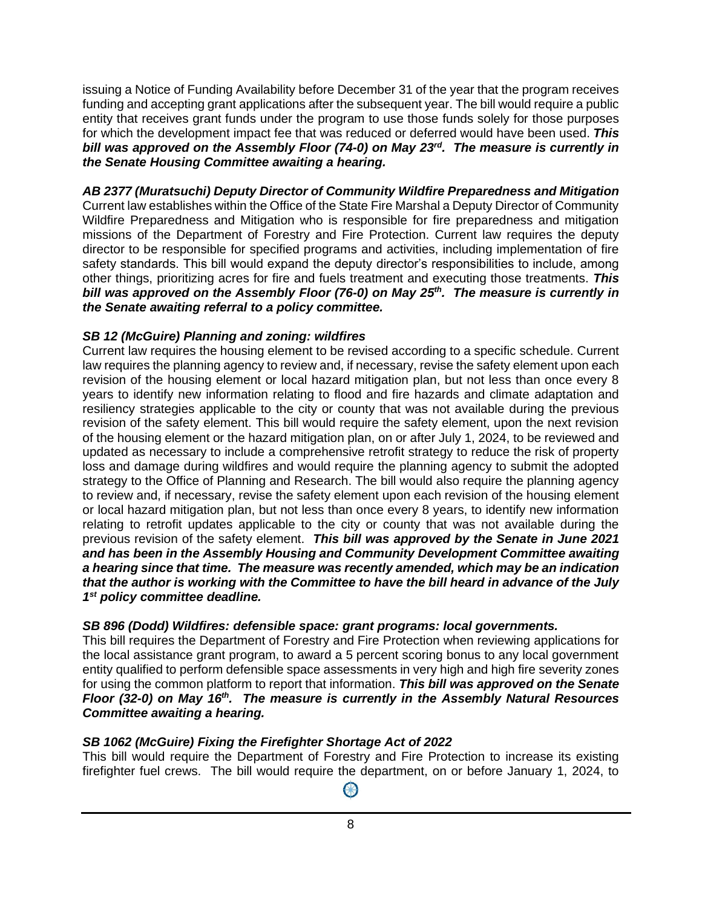issuing a Notice of Funding Availability before December 31 of the year that the program receives funding and accepting grant applications after the subsequent year. The bill would require a public entity that receives grant funds under the program to use those funds solely for those purposes for which the development impact fee that was reduced or deferred would have been used. *This bill was approved on the Assembly Floor (74-0) on May 23rd. The measure is currently in the Senate Housing Committee awaiting a hearing.*

*AB 2377 (Muratsuchi) Deputy Director of Community Wildfire Preparedness and Mitigation* Current law establishes within the Office of the State Fire Marshal a Deputy Director of Community Wildfire Preparedness and Mitigation who is responsible for fire preparedness and mitigation missions of the Department of Forestry and Fire Protection. Current law requires the deputy director to be responsible for specified programs and activities, including implementation of fire safety standards. This bill would expand the deputy director's responsibilities to include, among other things, prioritizing acres for fire and fuels treatment and executing those treatments. *This bill was approved on the Assembly Floor (76-0) on May 25 th. The measure is currently in the Senate awaiting referral to a policy committee.*

#### *SB 12 (McGuire) Planning and zoning: wildfires*

Current law requires the housing element to be revised according to a specific schedule. Current law requires the planning agency to review and, if necessary, revise the safety element upon each revision of the housing element or local hazard mitigation plan, but not less than once every 8 years to identify new information relating to flood and fire hazards and climate adaptation and resiliency strategies applicable to the city or county that was not available during the previous revision of the safety element. This bill would require the safety element, upon the next revision of the housing element or the hazard mitigation plan, on or after July 1, 2024, to be reviewed and updated as necessary to include a comprehensive retrofit strategy to reduce the risk of property loss and damage during wildfires and would require the planning agency to submit the adopted strategy to the Office of Planning and Research. The bill would also require the planning agency to review and, if necessary, revise the safety element upon each revision of the housing element or local hazard mitigation plan, but not less than once every 8 years, to identify new information relating to retrofit updates applicable to the city or county that was not available during the previous revision of the safety element. *This bill was approved by the Senate in June 2021 and has been in the Assembly Housing and Community Development Committee awaiting a hearing since that time. The measure was recently amended, which may be an indication that the author is working with the Committee to have the bill heard in advance of the July 1 st policy committee deadline.*

#### *SB 896 (Dodd) Wildfires: defensible space: grant programs: local governments.*

This bill requires the Department of Forestry and Fire Protection when reviewing applications for the local assistance grant program, to award a 5 percent scoring bonus to any local government entity qualified to perform defensible space assessments in very high and high fire severity zones for using the common platform to report that information. *This bill was approved on the Senate Floor (32-0) on May 16th. The measure is currently in the Assembly Natural Resources Committee awaiting a hearing.*

## *SB 1062 (McGuire) Fixing the Firefighter Shortage Act of 2022*

This bill would require the Department of Forestry and Fire Protection to increase its existing firefighter fuel crews. The bill would require the department, on or before January 1, 2024, to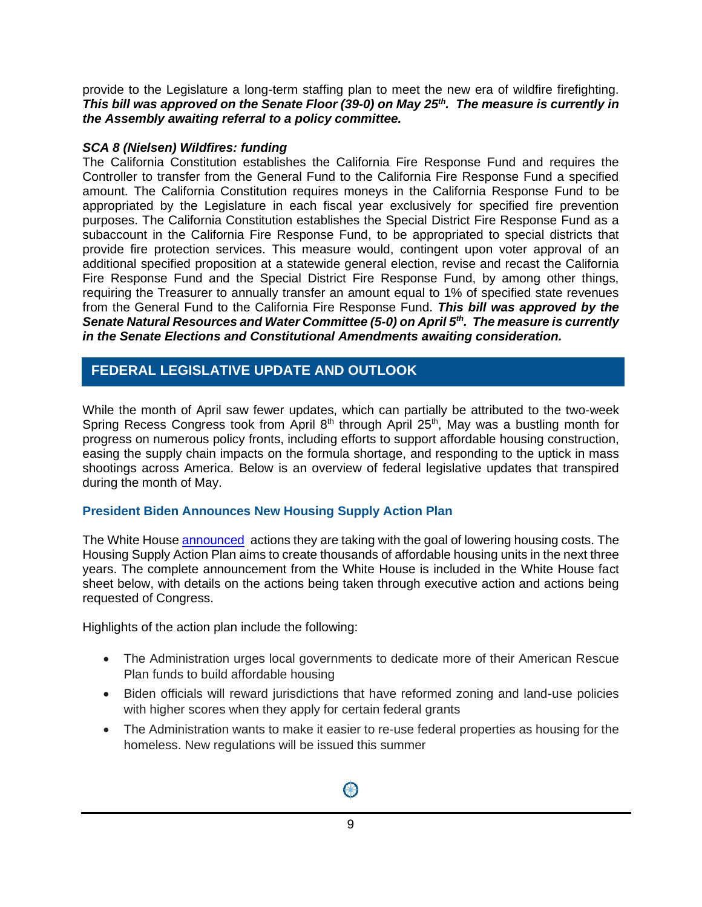provide to the Legislature a long-term staffing plan to meet the new era of wildfire firefighting. *This bill was approved on the Senate Floor (39-0) on May 25th. The measure is currently in the Assembly awaiting referral to a policy committee.*

#### *SCA 8 (Nielsen) Wildfires: funding*

The California Constitution establishes the California Fire Response Fund and requires the Controller to transfer from the General Fund to the California Fire Response Fund a specified amount. The California Constitution requires moneys in the California Response Fund to be appropriated by the Legislature in each fiscal year exclusively for specified fire prevention purposes. The California Constitution establishes the Special District Fire Response Fund as a subaccount in the California Fire Response Fund, to be appropriated to special districts that provide fire protection services. This measure would, contingent upon voter approval of an additional specified proposition at a statewide general election, revise and recast the California Fire Response Fund and the Special District Fire Response Fund, by among other things, requiring the Treasurer to annually transfer an amount equal to 1% of specified state revenues from the General Fund to the California Fire Response Fund. *This bill was approved by the Senate Natural Resources and Water Committee (5-0) on April 5th. The measure is currently in the Senate Elections and Constitutional Amendments awaiting consideration.*

## **ATIVE UPDATE AND OUTLOOK FEDERAL LEGISLATIVE UPDATE AND OUTLOOK**

While the month of April saw fewer updates, which can partially be attributed to the two-week Spring Recess Congress took from April 8<sup>th</sup> through April 25<sup>th</sup>, May was a bustling month for progress on numerous policy fronts, including efforts to support affordable housing construction, easing the supply chain impacts on the formula shortage, and responding to the uptick in mass shootings across America. Below is an overview of federal legislative updates that transpired during the month of May.

#### **President Biden Announces New Housing Supply Action Plan**

The White Hous[e announced](https://www.whitehouse.gov/briefing-room/statements-releases/2022/05/16/president-biden-announces-new-actions-to-ease-the-burden-of-housing-costs/) actions they are taking with the goal of lowering housing costs. The Housing Supply Action Plan aims to create thousands of affordable housing units in the next three years. The complete announcement from the White House is included in the White House fact sheet below, with details on the actions being taken through executive action and actions being requested of Congress.

Highlights of the action plan include the following:

- The Administration urges local governments to dedicate more of their American Rescue Plan funds to build affordable housing
- Biden officials will reward jurisdictions that have reformed zoning and land-use policies with higher scores when they apply for certain federal grants
- The Administration wants to make it easier to re-use federal properties as housing for the homeless. New regulations will be issued this summer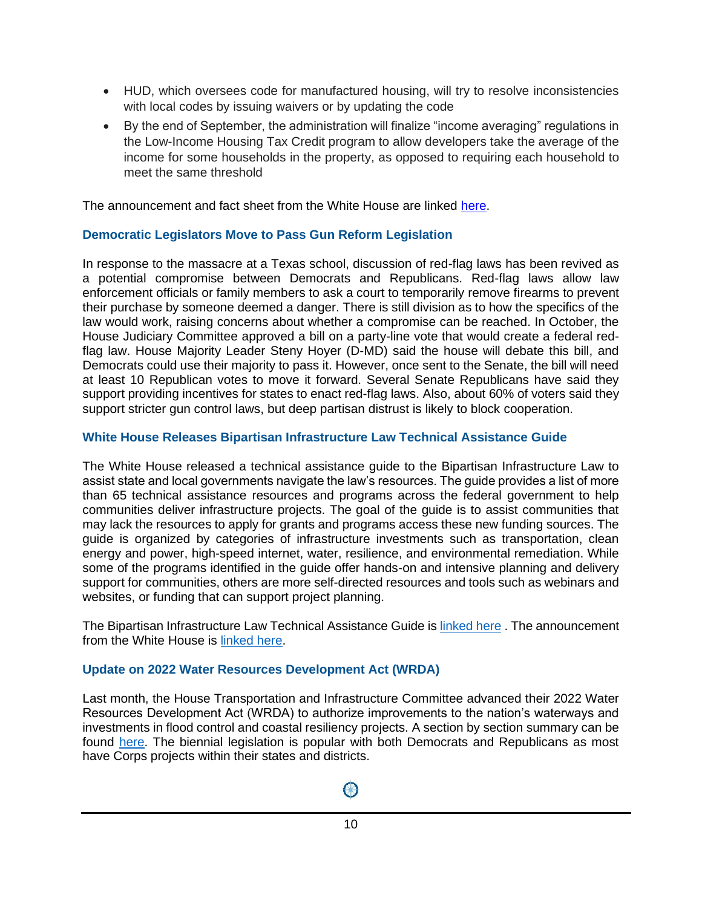- HUD, which oversees code for manufactured housing, will try to resolve inconsistencies with local codes by issuing waivers or by updating the code
- By the end of September, the administration will finalize "income averaging" regulations in the Low-Income Housing Tax Credit program to allow developers take the average of the income for some households in the property, as opposed to requiring each household to meet the same threshold

The announcement and fact sheet from the White House are linked [here.](https://www.whitehouse.gov/briefing-room/statements-releases/2022/05/16/president-biden-announces-new-actions-to-ease-the-burden-of-housing-costs/)

#### **Democratic Legislators Move to Pass Gun Reform Legislation**

In response to the massacre at a Texas school, discussion of red-flag laws has been revived as a potential compromise between Democrats and Republicans. Red-flag laws allow law enforcement officials or family members to ask a court to temporarily remove firearms to prevent their purchase by someone deemed a danger. There is still division as to how the specifics of the law would work, raising concerns about whether a compromise can be reached. In October, the House Judiciary Committee approved a bill on a party-line vote that would create a federal redflag law. House Majority Leader Steny Hoyer (D-MD) said the house will debate this bill, and Democrats could use their majority to pass it. However, once sent to the Senate, the bill will need at least 10 Republican votes to move it forward. Several Senate Republicans have said they support providing incentives for states to enact red-flag laws. Also, about 60% of voters said they support stricter gun control laws, but deep partisan distrust is likely to block cooperation.

#### **White House Releases Bipartisan Infrastructure Law Technical Assistance Guide**

The White House released a technical assistance guide to the Bipartisan Infrastructure Law to assist state and local governments navigate the law's resources. The guide provides a list of more than 65 technical assistance resources and programs across the federal government to help communities deliver infrastructure projects. The goal of the guide is to assist communities that may lack the resources to apply for grants and programs access these new funding sources. The guide is organized by categories of infrastructure investments such as transportation, clean energy and power, high-speed internet, water, resilience, and environmental remediation. While some of the programs identified in the guide offer hands-on and intensive planning and delivery support for communities, others are more self-directed resources and tools such as webinars and websites, or funding that can support project planning.

The Bipartisan Infrastructure Law Technical Assistance Guide is [linked here](https://www.whitehouse.gov/wp-content/uploads/2022/05/Infrastructure-Technical-Assistance-Guide_FINAL2.pdf) . The announcement from the White House is [linked here.](https://www.whitehouse.gov/briefing-room/statements-releases/2022/05/18/white-house-releases-technical-assistance-guide-to-help-communities-unlock-resources-from-bipartisan-infrastructure-law/)

#### **Update on 2022 Water Resources Development Act (WRDA)**

Last month, the House Transportation and Infrastructure Committee advanced their 2022 Water Resources Development Act (WRDA) to authorize improvements to the nation's waterways and investments in flood control and coastal resiliency projects. A section by section summary can be found [here.](https://transportation.house.gov/imo/media/doc/WRDA%202022%20Section%20by%20Section_FINAL%20FINAL1.pdf) The biennial legislation is popular with both Democrats and Republicans as most have Corps projects within their states and districts.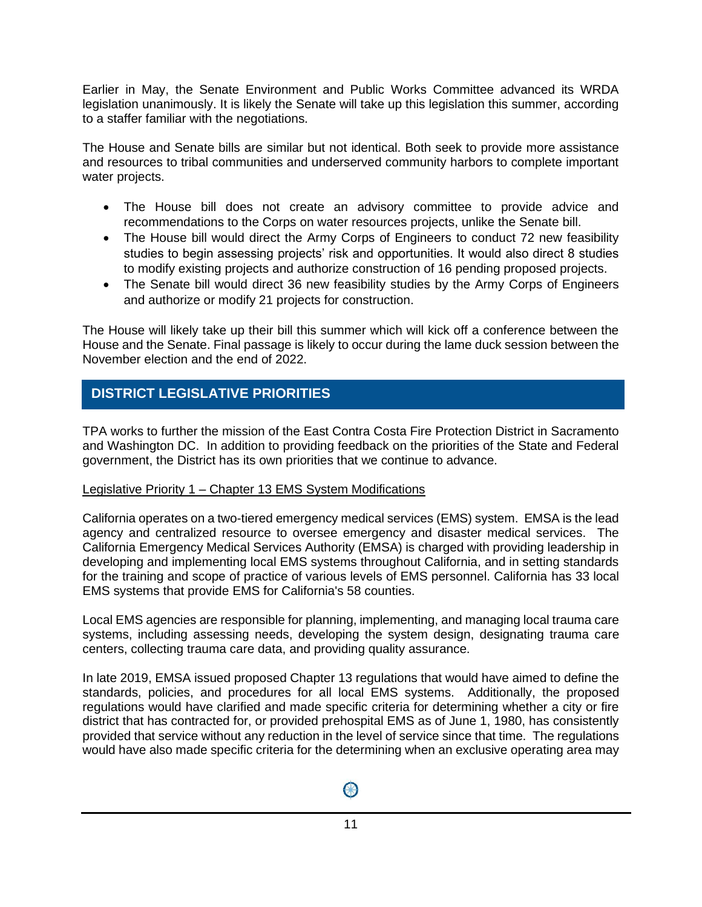Earlier in May, the Senate Environment and Public Works Committee advanced its WRDA legislation unanimously. It is likely the Senate will take up this legislation this summer, according to a staffer familiar with the negotiations.

The House and Senate bills are similar but not identical. Both seek to provide more assistance and resources to tribal communities and underserved community harbors to complete important water projects.

- The House bill does not create an advisory committee to provide advice and recommendations to the Corps on water resources projects, unlike the Senate bill.
- The House bill would direct the Army Corps of Engineers to conduct 72 new feasibility studies to begin assessing projects' risk and opportunities. It would also direct 8 studies to modify existing projects and authorize construction of 16 pending proposed projects.
- The Senate bill would direct 36 new feasibility studies by the Army Corps of Engineers and authorize or modify 21 projects for construction.

The House will likely take up their bill this summer which will kick off a conference between the House and the Senate. Final passage is likely to occur during the lame duck session between the November election and the end of 2022.

# **District Legislative Priorities DISTRICT LEGISLATIVE PRIORITIES**

TPA works to further the mission of the East Contra Costa Fire Protection District in Sacramento and Washington DC. In addition to providing feedback on the priorities of the State and Federal government, the District has its own priorities that we continue to advance.

#### Legislative Priority 1 – Chapter 13 EMS System Modifications

California operates on a two-tiered emergency medical services (EMS) system. EMSA is the lead agency and centralized resource to oversee emergency and disaster medical services. The California Emergency Medical Services Authority (EMSA) is charged with providing leadership in developing and implementing local EMS systems throughout California, and in setting standards for the training and scope of practice of various levels of EMS personnel. California has 33 local EMS systems that provide EMS for California's 58 counties.

Local EMS agencies are responsible for planning, implementing, and managing local trauma care systems, including assessing needs, developing the system design, designating trauma care centers, collecting trauma care data, and providing quality assurance.

In late 2019, EMSA issued proposed Chapter 13 regulations that would have aimed to define the standards, policies, and procedures for all local EMS systems. Additionally, the proposed regulations would have clarified and made specific criteria for determining whether a city or fire district that has contracted for, or provided prehospital EMS as of June 1, 1980, has consistently provided that service without any reduction in the level of service since that time. The regulations would have also made specific criteria for the determining when an exclusive operating area may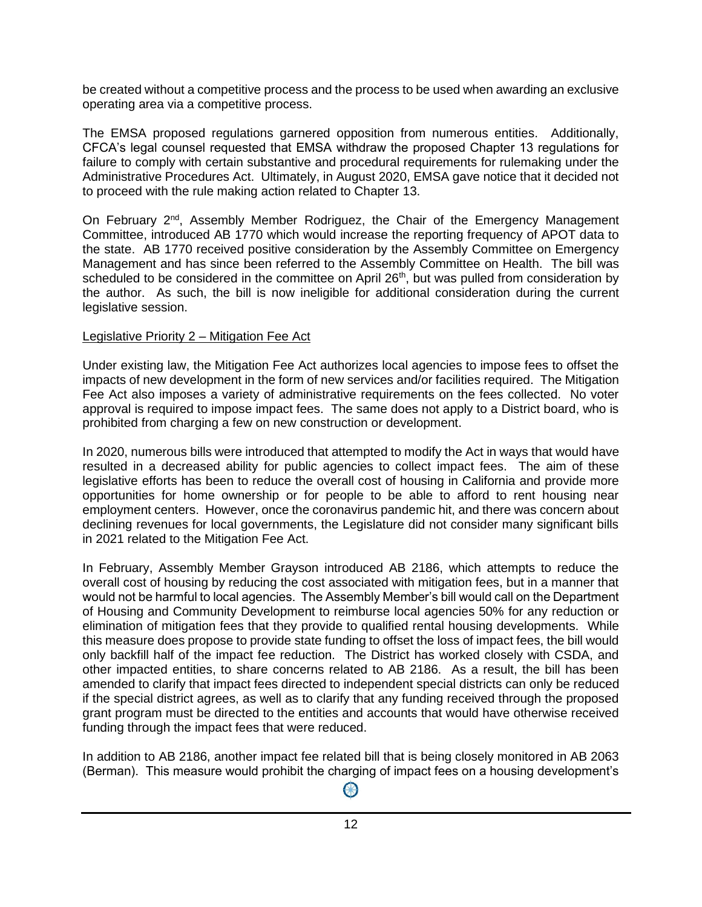be created without a competitive process and the process to be used when awarding an exclusive operating area via a competitive process.

The EMSA proposed regulations garnered opposition from numerous entities. Additionally, CFCA's legal counsel requested that EMSA withdraw the proposed Chapter 13 regulations for failure to comply with certain substantive and procedural requirements for rulemaking under the Administrative Procedures Act. Ultimately, in August 2020, EMSA gave notice that it decided not to proceed with the rule making action related to Chapter 13.

On February 2<sup>nd</sup>, Assembly Member Rodriguez, the Chair of the Emergency Management Committee, introduced AB 1770 which would increase the reporting frequency of APOT data to the state. AB 1770 received positive consideration by the Assembly Committee on Emergency Management and has since been referred to the Assembly Committee on Health. The bill was scheduled to be considered in the committee on April 26<sup>th</sup>, but was pulled from consideration by the author. As such, the bill is now ineligible for additional consideration during the current legislative session.

#### Legislative Priority 2 – Mitigation Fee Act

Under existing law, the Mitigation Fee Act authorizes local agencies to impose fees to offset the impacts of new development in the form of new services and/or facilities required. The Mitigation Fee Act also imposes a variety of administrative requirements on the fees collected. No voter approval is required to impose impact fees. The same does not apply to a District board, who is prohibited from charging a few on new construction or development.

In 2020, numerous bills were introduced that attempted to modify the Act in ways that would have resulted in a decreased ability for public agencies to collect impact fees. The aim of these legislative efforts has been to reduce the overall cost of housing in California and provide more opportunities for home ownership or for people to be able to afford to rent housing near employment centers. However, once the coronavirus pandemic hit, and there was concern about declining revenues for local governments, the Legislature did not consider many significant bills in 2021 related to the Mitigation Fee Act.

In February, Assembly Member Grayson introduced AB 2186, which attempts to reduce the overall cost of housing by reducing the cost associated with mitigation fees, but in a manner that would not be harmful to local agencies. The Assembly Member's bill would call on the Department of Housing and Community Development to reimburse local agencies 50% for any reduction or elimination of mitigation fees that they provide to qualified rental housing developments. While this measure does propose to provide state funding to offset the loss of impact fees, the bill would only backfill half of the impact fee reduction. The District has worked closely with CSDA, and other impacted entities, to share concerns related to AB 2186. As a result, the bill has been amended to clarify that impact fees directed to independent special districts can only be reduced if the special district agrees, as well as to clarify that any funding received through the proposed grant program must be directed to the entities and accounts that would have otherwise received funding through the impact fees that were reduced.

In addition to AB 2186, another impact fee related bill that is being closely monitored in AB 2063 (Berman). This measure would prohibit the charging of impact fees on a housing development's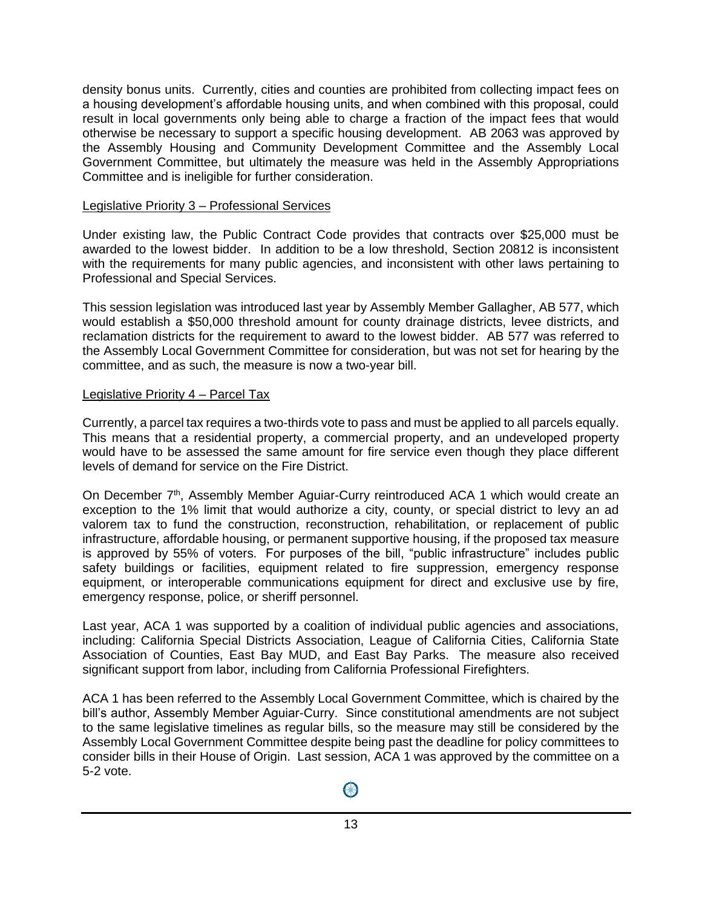density bonus units. Currently, cities and counties are prohibited from collecting impact fees on a housing development's affordable housing units, and when combined with this proposal, could result in local governments only being able to charge a fraction of the impact fees that would otherwise be necessary to support a specific housing development. AB 2063 was approved by the Assembly Housing and Community Development Committee and the Assembly Local Government Committee, but ultimately the measure was held in the Assembly Appropriations Committee and is ineligible for further consideration.

#### Legislative Priority 3 – Professional Services

Under existing law, the Public Contract Code provides that contracts over \$25,000 must be awarded to the lowest bidder. In addition to be a low threshold, Section 20812 is inconsistent with the requirements for many public agencies, and inconsistent with other laws pertaining to Professional and Special Services.

This session legislation was introduced last year by Assembly Member Gallagher, AB 577, which would establish a \$50,000 threshold amount for county drainage districts, levee districts, and reclamation districts for the requirement to award to the lowest bidder. AB 577 was referred to the Assembly Local Government Committee for consideration, but was not set for hearing by the committee, and as such, the measure is now a two-year bill.

#### Legislative Priority 4 – Parcel Tax

Currently, a parcel tax requires a two-thirds vote to pass and must be applied to all parcels equally. This means that a residential property, a commercial property, and an undeveloped property would have to be assessed the same amount for fire service even though they place different levels of demand for service on the Fire District.

On December  $7<sup>th</sup>$ , Assembly Member Aguiar-Curry reintroduced ACA 1 which would create an exception to the 1% limit that would authorize a city, county, or special district to levy an ad valorem tax to fund the construction, reconstruction, rehabilitation, or replacement of public infrastructure, affordable housing, or permanent supportive housing, if the proposed tax measure is approved by 55% of voters. For purposes of the bill, "public infrastructure" includes public safety buildings or facilities, equipment related to fire suppression, emergency response equipment, or interoperable communications equipment for direct and exclusive use by fire, emergency response, police, or sheriff personnel.

Last year, ACA 1 was supported by a coalition of individual public agencies and associations, including: California Special Districts Association, League of California Cities, California State Association of Counties, East Bay MUD, and East Bay Parks. The measure also received significant support from labor, including from California Professional Firefighters.

ACA 1 has been referred to the Assembly Local Government Committee, which is chaired by the bill's author, Assembly Member Aguiar-Curry. Since constitutional amendments are not subject to the same legislative timelines as regular bills, so the measure may still be considered by the Assembly Local Government Committee despite being past the deadline for policy committees to consider bills in their House of Origin. Last session, ACA 1 was approved by the committee on a 5-2 vote.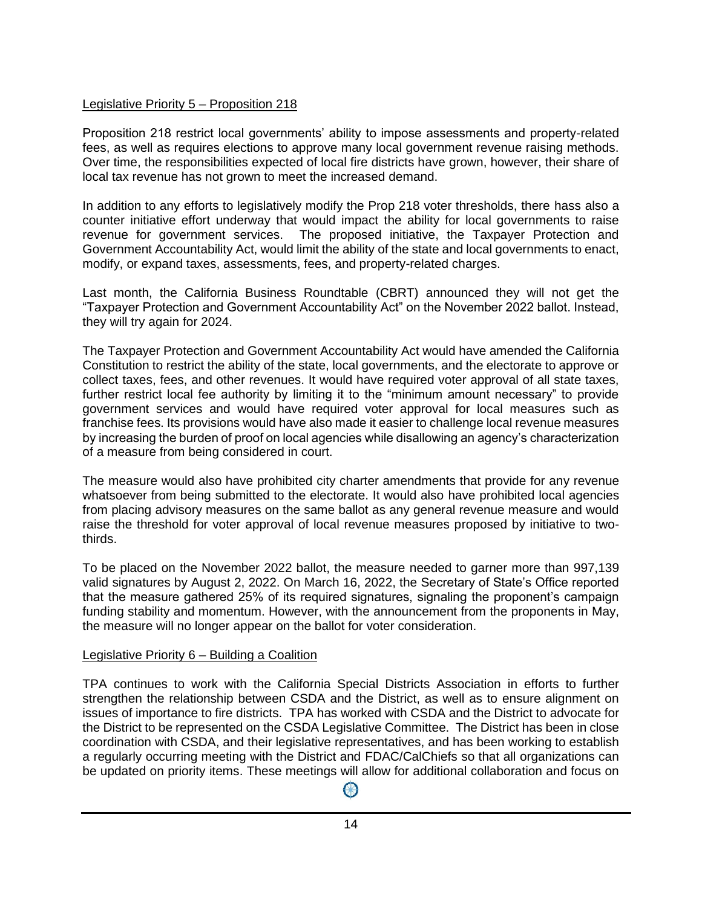#### Legislative Priority 5 – Proposition 218

Proposition 218 restrict local governments' ability to impose assessments and property-related fees, as well as requires elections to approve many local government revenue raising methods. Over time, the responsibilities expected of local fire districts have grown, however, their share of local tax revenue has not grown to meet the increased demand.

In addition to any efforts to legislatively modify the Prop 218 voter thresholds, there hass also a counter initiative effort underway that would impact the ability for local governments to raise revenue for government services. The proposed initiative, the Taxpayer Protection and Government Accountability Act, would limit the ability of the state and local governments to enact, modify, or expand taxes, assessments, fees, and property-related charges.

Last month, the California Business Roundtable (CBRT) announced they will not get the "Taxpayer Protection and Government Accountability Act" on the November 2022 ballot. Instead, they will try again for 2024.

The Taxpayer Protection and Government Accountability Act would have amended the California Constitution to restrict the ability of the state, local governments, and the electorate to approve or collect taxes, fees, and other revenues. It would have required voter approval of all state taxes, further restrict local fee authority by limiting it to the "minimum amount necessary" to provide government services and would have required voter approval for local measures such as franchise fees. Its provisions would have also made it easier to challenge local revenue measures by increasing the burden of proof on local agencies while disallowing an agency's characterization of a measure from being considered in court.

The measure would also have prohibited city charter amendments that provide for any revenue whatsoever from being submitted to the electorate. It would also have prohibited local agencies from placing advisory measures on the same ballot as any general revenue measure and would raise the threshold for voter approval of local revenue measures proposed by initiative to twothirds.

To be placed on the November 2022 ballot, the measure needed to garner more than 997,139 valid signatures by August 2, 2022. On March 16, 2022, the Secretary of State's Office reported that the measure gathered 25% of its required signatures, signaling the proponent's campaign funding stability and momentum. However, with the announcement from the proponents in May, the measure will no longer appear on the ballot for voter consideration.

#### Legislative Priority 6 – Building a Coalition

TPA continues to work with the California Special Districts Association in efforts to further strengthen the relationship between CSDA and the District, as well as to ensure alignment on issues of importance to fire districts. TPA has worked with CSDA and the District to advocate for the District to be represented on the CSDA Legislative Committee. The District has been in close coordination with CSDA, and their legislative representatives, and has been working to establish a regularly occurring meeting with the District and FDAC/CalChiefs so that all organizations can be updated on priority items. These meetings will allow for additional collaboration and focus on